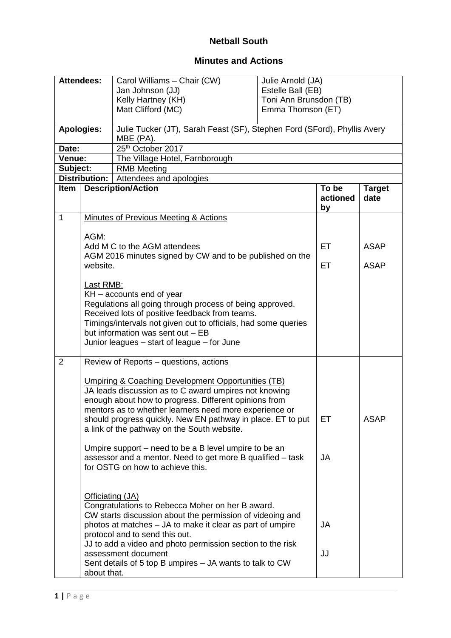## **Netball South**

## **Minutes and Actions**

| <b>Attendees:</b>              |                                                                                                                                                                                                                                                                                                 | Carol Williams - Chair (CW)<br>Jan Johnson (JJ)<br>Kelly Hartney (KH)<br>Matt Clifford (MC)                                                                                                                                                                                                                                                                   | Julie Arnold (JA)<br>Estelle Ball (EB)<br>Toni Ann Brunsdon (TB)<br>Emma Thomson (ET) |                         |                       |  |
|--------------------------------|-------------------------------------------------------------------------------------------------------------------------------------------------------------------------------------------------------------------------------------------------------------------------------------------------|---------------------------------------------------------------------------------------------------------------------------------------------------------------------------------------------------------------------------------------------------------------------------------------------------------------------------------------------------------------|---------------------------------------------------------------------------------------|-------------------------|-----------------------|--|
| <b>Apologies:</b>              |                                                                                                                                                                                                                                                                                                 | Julie Tucker (JT), Sarah Feast (SF), Stephen Ford (SFord), Phyllis Avery<br>MBE (PA).                                                                                                                                                                                                                                                                         |                                                                                       |                         |                       |  |
| Date:                          |                                                                                                                                                                                                                                                                                                 | 25th October 2017                                                                                                                                                                                                                                                                                                                                             |                                                                                       |                         |                       |  |
| Venue:                         |                                                                                                                                                                                                                                                                                                 | The Village Hotel, Farnborough                                                                                                                                                                                                                                                                                                                                |                                                                                       |                         |                       |  |
| Subject:<br><b>RMB Meeting</b> |                                                                                                                                                                                                                                                                                                 |                                                                                                                                                                                                                                                                                                                                                               |                                                                                       |                         |                       |  |
|                                | Distribution:  <br>Attendees and apologies                                                                                                                                                                                                                                                      |                                                                                                                                                                                                                                                                                                                                                               |                                                                                       |                         |                       |  |
| Item                           |                                                                                                                                                                                                                                                                                                 | <b>Description/Action</b>                                                                                                                                                                                                                                                                                                                                     |                                                                                       | To be<br>actioned<br>by | <b>Target</b><br>date |  |
| $\mathbf{1}$                   |                                                                                                                                                                                                                                                                                                 | Minutes of Previous Meeting & Actions                                                                                                                                                                                                                                                                                                                         |                                                                                       |                         |                       |  |
|                                |                                                                                                                                                                                                                                                                                                 |                                                                                                                                                                                                                                                                                                                                                               |                                                                                       |                         |                       |  |
|                                | AGM:                                                                                                                                                                                                                                                                                            |                                                                                                                                                                                                                                                                                                                                                               |                                                                                       |                         |                       |  |
|                                |                                                                                                                                                                                                                                                                                                 | Add M C to the AGM attendees<br>AGM 2016 minutes signed by CW and to be published on the                                                                                                                                                                                                                                                                      |                                                                                       | <b>ET</b>               | <b>ASAP</b>           |  |
|                                | website.                                                                                                                                                                                                                                                                                        |                                                                                                                                                                                                                                                                                                                                                               |                                                                                       | <b>ET</b>               | <b>ASAP</b>           |  |
|                                | $KH - accounts end of year$<br>Regulations all going through process of being approved.<br>Received lots of positive feedback from teams.<br>Timings/intervals not given out to officials, had some queries<br>but information was sent out - EB<br>Junior leagues – start of league – for June |                                                                                                                                                                                                                                                                                                                                                               |                                                                                       |                         |                       |  |
| 2                              |                                                                                                                                                                                                                                                                                                 | Review of Reports – questions, actions                                                                                                                                                                                                                                                                                                                        |                                                                                       |                         |                       |  |
|                                |                                                                                                                                                                                                                                                                                                 | <b>Umpiring &amp; Coaching Development Opportunities (TB)</b><br>JA leads discussion as to C award umpires not knowing<br>enough about how to progress. Different opinions from<br>mentors as to whether learners need more experience or<br>should progress quickly. New EN pathway in place. ET to put<br>a link of the pathway on the South website.       |                                                                                       | ЕT                      | <b>ASAP</b>           |  |
|                                |                                                                                                                                                                                                                                                                                                 | Umpire support – need to be a B level umpire to be an<br>assessor and a mentor. Need to get more B qualified - task<br>for OSTG on how to achieve this.                                                                                                                                                                                                       |                                                                                       | JA                      |                       |  |
|                                | Officiating (JA)<br>about that.                                                                                                                                                                                                                                                                 | Congratulations to Rebecca Moher on her B award.<br>CW starts discussion about the permission of videoing and<br>photos at matches – JA to make it clear as part of umpire<br>protocol and to send this out.<br>JJ to add a video and photo permission section to the risk<br>assessment document<br>Sent details of 5 top B umpires - JA wants to talk to CW |                                                                                       | JA<br>JJ                |                       |  |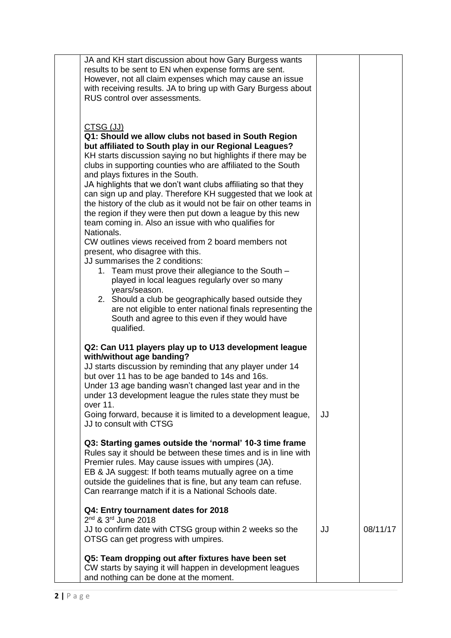| JA and KH start discussion about how Gary Burgess wants<br>results to be sent to EN when expense forms are sent.<br>However, not all claim expenses which may cause an issue<br>with receiving results. JA to bring up with Gary Burgess about<br>RUS control over assessments.                                                                                                                                                                                                                                                                                                                                                                                                                                                                                                                                                                                                                                                                                                                                                                                                           |    |          |
|-------------------------------------------------------------------------------------------------------------------------------------------------------------------------------------------------------------------------------------------------------------------------------------------------------------------------------------------------------------------------------------------------------------------------------------------------------------------------------------------------------------------------------------------------------------------------------------------------------------------------------------------------------------------------------------------------------------------------------------------------------------------------------------------------------------------------------------------------------------------------------------------------------------------------------------------------------------------------------------------------------------------------------------------------------------------------------------------|----|----------|
| CTSG (JJ)<br>Q1: Should we allow clubs not based in South Region<br>but affiliated to South play in our Regional Leagues?<br>KH starts discussion saying no but highlights if there may be<br>clubs in supporting counties who are affiliated to the South<br>and plays fixtures in the South.<br>JA highlights that we don't want clubs affiliating so that they<br>can sign up and play. Therefore KH suggested that we look at<br>the history of the club as it would not be fair on other teams in<br>the region if they were then put down a league by this new<br>team coming in. Also an issue with who qualifies for<br>Nationals.<br>CW outlines views received from 2 board members not<br>present, who disagree with this.<br>JJ summarises the 2 conditions:<br>1. Team must prove their allegiance to the South -<br>played in local leagues regularly over so many<br>years/season.<br>2. Should a club be geographically based outside they<br>are not eligible to enter national finals representing the<br>South and agree to this even if they would have<br>qualified. |    |          |
| Q2: Can U11 players play up to U13 development league<br>with/without age banding?<br>JJ starts discussion by reminding that any player under 14<br>but over 11 has to be age banded to 14s and 16s.<br>Under 13 age banding wasn't changed last year and in the<br>under 13 development league the rules state they must be<br>over 11.                                                                                                                                                                                                                                                                                                                                                                                                                                                                                                                                                                                                                                                                                                                                                  |    |          |
| Going forward, because it is limited to a development league,<br>JJ to consult with CTSG                                                                                                                                                                                                                                                                                                                                                                                                                                                                                                                                                                                                                                                                                                                                                                                                                                                                                                                                                                                                  | JJ |          |
| Q3: Starting games outside the 'normal' 10-3 time frame<br>Rules say it should be between these times and is in line with<br>Premier rules. May cause issues with umpires (JA).<br>EB & JA suggest: If both teams mutually agree on a time<br>outside the guidelines that is fine, but any team can refuse.<br>Can rearrange match if it is a National Schools date.                                                                                                                                                                                                                                                                                                                                                                                                                                                                                                                                                                                                                                                                                                                      |    |          |
| Q4: Entry tournament dates for 2018<br>$2^{nd}$ & $3^{rd}$ June 2018<br>JJ to confirm date with CTSG group within 2 weeks so the<br>OTSG can get progress with umpires.                                                                                                                                                                                                                                                                                                                                                                                                                                                                                                                                                                                                                                                                                                                                                                                                                                                                                                                   | JJ | 08/11/17 |
| Q5: Team dropping out after fixtures have been set<br>CW starts by saying it will happen in development leagues<br>and nothing can be done at the moment.                                                                                                                                                                                                                                                                                                                                                                                                                                                                                                                                                                                                                                                                                                                                                                                                                                                                                                                                 |    |          |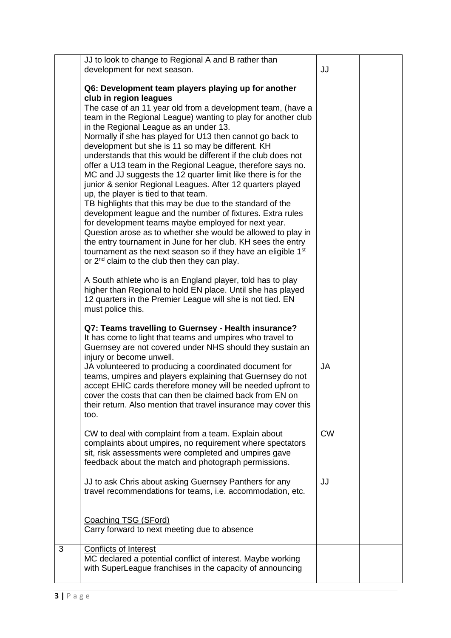|   | JJ to look to change to Regional A and B rather than                                                                    |           |  |
|---|-------------------------------------------------------------------------------------------------------------------------|-----------|--|
|   | development for next season.                                                                                            | JJ        |  |
|   |                                                                                                                         |           |  |
|   | Q6: Development team players playing up for another                                                                     |           |  |
|   | club in region leagues                                                                                                  |           |  |
|   | The case of an 11 year old from a development team, (have a                                                             |           |  |
|   | team in the Regional League) wanting to play for another club                                                           |           |  |
|   | in the Regional League as an under 13.                                                                                  |           |  |
|   | Normally if she has played for U13 then cannot go back to                                                               |           |  |
|   | development but she is 11 so may be different. KH                                                                       |           |  |
|   | understands that this would be different if the club does not                                                           |           |  |
|   | offer a U13 team in the Regional League, therefore says no.                                                             |           |  |
|   | MC and JJ suggests the 12 quarter limit like there is for the                                                           |           |  |
|   | junior & senior Regional Leagues. After 12 quarters played                                                              |           |  |
|   | up, the player is tied to that team.                                                                                    |           |  |
|   | TB highlights that this may be due to the standard of the                                                               |           |  |
|   | development league and the number of fixtures. Extra rules                                                              |           |  |
|   | for development teams maybe employed for next year.<br>Question arose as to whether she would be allowed to play in     |           |  |
|   | the entry tournament in June for her club. KH sees the entry                                                            |           |  |
|   | tournament as the next season so if they have an eligible 1 <sup>st</sup>                                               |           |  |
|   | or 2 <sup>nd</sup> claim to the club then they can play.                                                                |           |  |
|   |                                                                                                                         |           |  |
|   | A South athlete who is an England player, told has to play                                                              |           |  |
|   | higher than Regional to hold EN place. Until she has played                                                             |           |  |
|   | 12 quarters in the Premier League will she is not tied. EN                                                              |           |  |
|   | must police this.                                                                                                       |           |  |
|   |                                                                                                                         |           |  |
|   | Q7: Teams travelling to Guernsey - Health insurance?                                                                    |           |  |
|   | It has come to light that teams and umpires who travel to                                                               |           |  |
|   | Guernsey are not covered under NHS should they sustain an                                                               |           |  |
|   | injury or become unwell.                                                                                                |           |  |
|   | JA volunteered to producing a coordinated document for                                                                  | <b>JA</b> |  |
|   | teams, umpires and players explaining that Guernsey do not                                                              |           |  |
|   | accept EHIC cards therefore money will be needed upfront to<br>cover the costs that can then be claimed back from EN on |           |  |
|   | their return. Also mention that travel insurance may cover this                                                         |           |  |
|   | too.                                                                                                                    |           |  |
|   |                                                                                                                         |           |  |
|   | CW to deal with complaint from a team. Explain about                                                                    | <b>CW</b> |  |
|   | complaints about umpires, no requirement where spectators                                                               |           |  |
|   | sit, risk assessments were completed and umpires gave                                                                   |           |  |
|   | feedback about the match and photograph permissions.                                                                    |           |  |
|   |                                                                                                                         |           |  |
|   | JJ to ask Chris about asking Guernsey Panthers for any                                                                  | JJ        |  |
|   | travel recommendations for teams, i.e. accommodation, etc.                                                              |           |  |
|   |                                                                                                                         |           |  |
|   |                                                                                                                         |           |  |
|   | Coaching TSG (SFord)<br>Carry forward to next meeting due to absence                                                    |           |  |
|   |                                                                                                                         |           |  |
| 3 | <b>Conflicts of Interest</b>                                                                                            |           |  |
|   | MC declared a potential conflict of interest. Maybe working                                                             |           |  |
|   | with SuperLeague franchises in the capacity of announcing                                                               |           |  |
|   |                                                                                                                         |           |  |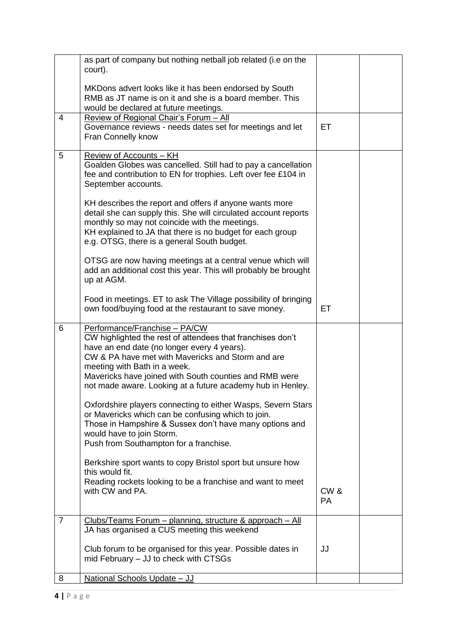|                | as part of company but nothing netball job related (i.e on the<br>court).                                                                                                                                                                                                                                                                               |                                  |  |
|----------------|---------------------------------------------------------------------------------------------------------------------------------------------------------------------------------------------------------------------------------------------------------------------------------------------------------------------------------------------------------|----------------------------------|--|
|                | MKDons advert looks like it has been endorsed by South<br>RMB as JT name is on it and she is a board member. This<br>would be declared at future meetings.                                                                                                                                                                                              |                                  |  |
| $\overline{4}$ | Review of Regional Chair's Forum - All<br>Governance reviews - needs dates set for meetings and let<br>Fran Connelly know                                                                                                                                                                                                                               | ET                               |  |
| 5              | Review of Accounts - KH<br>Goalden Globes was cancelled. Still had to pay a cancellation<br>fee and contribution to EN for trophies. Left over fee £104 in<br>September accounts.<br>KH describes the report and offers if anyone wants more                                                                                                            |                                  |  |
|                | detail she can supply this. She will circulated account reports<br>monthly so may not coincide with the meetings.<br>KH explained to JA that there is no budget for each group<br>e.g. OTSG, there is a general South budget.                                                                                                                           |                                  |  |
|                | OTSG are now having meetings at a central venue which will<br>add an additional cost this year. This will probably be brought<br>up at AGM.                                                                                                                                                                                                             |                                  |  |
|                | Food in meetings. ET to ask The Village possibility of bringing<br>own food/buying food at the restaurant to save money.                                                                                                                                                                                                                                | ET                               |  |
| 6              | Performance/Franchise - PA/CW<br>CW highlighted the rest of attendees that franchises don't<br>have an end date (no longer every 4 years).<br>CW & PA have met with Mavericks and Storm and are<br>meeting with Bath in a week.<br>Mavericks have joined with South counties and RMB were<br>not made aware. Looking at a future academy hub in Henley. |                                  |  |
|                |                                                                                                                                                                                                                                                                                                                                                         |                                  |  |
|                | Oxfordshire players connecting to either Wasps, Severn Stars<br>or Mavericks which can be confusing which to join.<br>Those in Hampshire & Sussex don't have many options and<br>would have to join Storm.<br>Push from Southampton for a franchise.                                                                                                    |                                  |  |
|                | Berkshire sport wants to copy Bristol sport but unsure how<br>this would fit.<br>Reading rockets looking to be a franchise and want to meet<br>with CW and PA.                                                                                                                                                                                          | CW <sub>&amp;</sub><br><b>PA</b> |  |
| $\overline{7}$ | Clubs/Teams Forum - planning, structure & approach - All<br>JA has organised a CUS meeting this weekend                                                                                                                                                                                                                                                 |                                  |  |
|                | Club forum to be organised for this year. Possible dates in<br>mid February – JJ to check with CTSGs                                                                                                                                                                                                                                                    | JJ                               |  |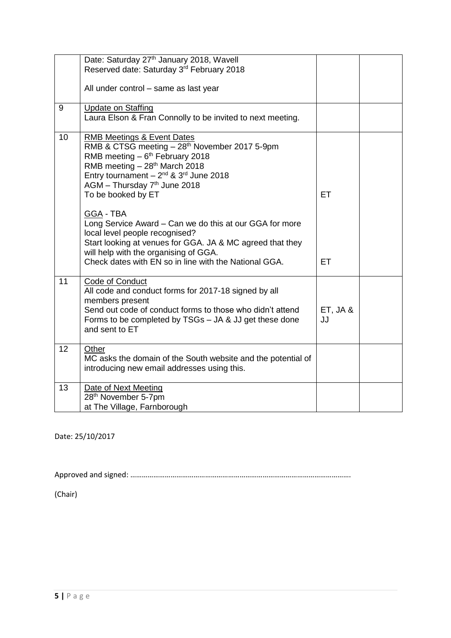|    | Date: Saturday 27 <sup>th</sup> January 2018, Wavell<br>Reserved date: Saturday 3rd February 2018                                                                                                                                                                                                                                                                                                                                                                                                                                                                            |                 |  |
|----|------------------------------------------------------------------------------------------------------------------------------------------------------------------------------------------------------------------------------------------------------------------------------------------------------------------------------------------------------------------------------------------------------------------------------------------------------------------------------------------------------------------------------------------------------------------------------|-----------------|--|
|    | All under control - same as last year                                                                                                                                                                                                                                                                                                                                                                                                                                                                                                                                        |                 |  |
| 9  | Update on Staffing<br>Laura Elson & Fran Connolly to be invited to next meeting.                                                                                                                                                                                                                                                                                                                                                                                                                                                                                             |                 |  |
| 10 | <b>RMB Meetings &amp; Event Dates</b><br>RMB & CTSG meeting - 28 <sup>th</sup> November 2017 5-9pm<br>RMB meeting $-6th$ February 2018<br>RMB meeting - 28 <sup>th</sup> March 2018<br>Entry tournament $-2^{nd}$ & 3 <sup>rd</sup> June 2018<br>AGM - Thursday 7th June 2018<br>To be booked by ET<br>GGA - TBA<br>Long Service Award - Can we do this at our GGA for more<br>local level people recognised?<br>Start looking at venues for GGA. JA & MC agreed that they<br>will help with the organising of GGA.<br>Check dates with EN so in line with the National GGA. | ET<br><b>ET</b> |  |
| 11 | Code of Conduct<br>All code and conduct forms for 2017-18 signed by all<br>members present<br>Send out code of conduct forms to those who didn't attend<br>Forms to be completed by TSGs - JA & JJ get these done<br>and sent to ET                                                                                                                                                                                                                                                                                                                                          | ET, JA &<br>JJ  |  |
| 12 | Other<br>MC asks the domain of the South website and the potential of<br>introducing new email addresses using this.                                                                                                                                                                                                                                                                                                                                                                                                                                                         |                 |  |
| 13 | Date of Next Meeting<br>28 <sup>th</sup> November 5-7pm<br>at The Village, Farnborough                                                                                                                                                                                                                                                                                                                                                                                                                                                                                       |                 |  |

Date: 25/10/2017

Approved and signed: …………………………………………………………………………………………………….

(Chair)